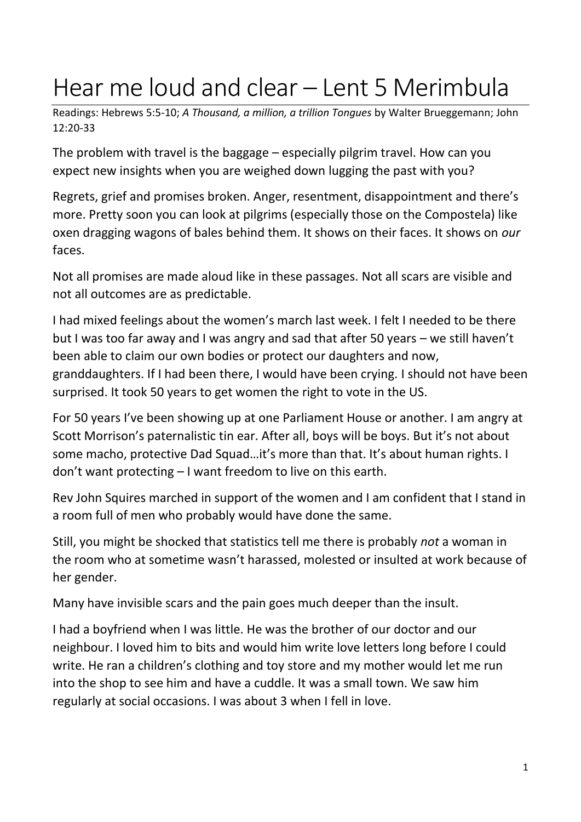## Hear me loud and clear – Lent 5 Merimbula

Readings: Hebrews 5:5-10; *A Thousand, a million, a trillion Tongues* by Walter Brueggemann; John 12:20-33

The problem with travel is the baggage – especially pilgrim travel. How can you expect new insights when you are weighed down lugging the past with you?

Regrets, grief and promises broken. Anger, resentment, disappointment and there's more. Pretty soon you can look at pilgrims (especially those on the Compostela) like oxen dragging wagons of bales behind them. It shows on their faces. It shows on *our* faces.

Not all promises are made aloud like in these passages. Not all scars are visible and not all outcomes are as predictable.

I had mixed feelings about the women's march last week. I felt I needed to be there but I was too far away and I was angry and sad that after 50 years – we still haven't been able to claim our own bodies or protect our daughters and now, granddaughters. If I had been there, I would have been crying. I should not have been surprised. It took 50 years to get women the right to vote in the US.

For 50 years I've been showing up at one Parliament House or another. I am angry at Scott Morrison's paternalistic tin ear. After all, boys will be boys. But it's not about some macho, protective Dad Squad…it's more than that. It's about human rights. I don't want protecting – I want freedom to live on this earth.

Rev John Squires marched in support of the women and I am confident that I stand in a room full of men who probably would have done the same.

Still, you might be shocked that statistics tell me there is probably *not* a woman in the room who at sometime wasn't harassed, molested or insulted at work because of her gender.

Many have invisible scars and the pain goes much deeper than the insult.

I had a boyfriend when I was little. He was the brother of our doctor and our neighbour. I loved him to bits and would him write love letters long before I could write. He ran a children's clothing and toy store and my mother would let me run into the shop to see him and have a cuddle. It was a small town. We saw him regularly at social occasions. I was about 3 when I fell in love.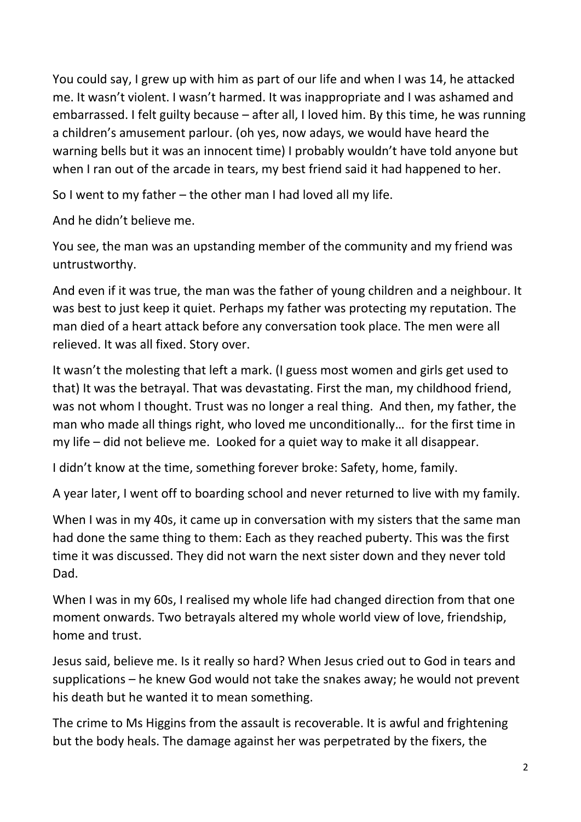You could say, I grew up with him as part of our life and when I was 14, he attacked me. It wasn't violent. I wasn't harmed. It was inappropriate and I was ashamed and embarrassed. I felt guilty because – after all, I loved him. By this time, he was running a children's amusement parlour. (oh yes, now adays, we would have heard the warning bells but it was an innocent time) I probably wouldn't have told anyone but when I ran out of the arcade in tears, my best friend said it had happened to her.

So I went to my father – the other man I had loved all my life.

And he didn't believe me.

You see, the man was an upstanding member of the community and my friend was untrustworthy.

And even if it was true, the man was the father of young children and a neighbour. It was best to just keep it quiet. Perhaps my father was protecting my reputation. The man died of a heart attack before any conversation took place. The men were all relieved. It was all fixed. Story over.

It wasn't the molesting that left a mark. (I guess most women and girls get used to that) It was the betrayal. That was devastating. First the man, my childhood friend, was not whom I thought. Trust was no longer a real thing. And then, my father, the man who made all things right, who loved me unconditionally… for the first time in my life – did not believe me. Looked for a quiet way to make it all disappear.

I didn't know at the time, something forever broke: Safety, home, family.

A year later, I went off to boarding school and never returned to live with my family.

When I was in my 40s, it came up in conversation with my sisters that the same man had done the same thing to them: Each as they reached puberty. This was the first time it was discussed. They did not warn the next sister down and they never told Dad.

When I was in my 60s, I realised my whole life had changed direction from that one moment onwards. Two betrayals altered my whole world view of love, friendship, home and trust.

Jesus said, believe me. Is it really so hard? When Jesus cried out to God in tears and supplications – he knew God would not take the snakes away; he would not prevent his death but he wanted it to mean something.

The crime to Ms Higgins from the assault is recoverable. It is awful and frightening but the body heals. The damage against her was perpetrated by the fixers, the